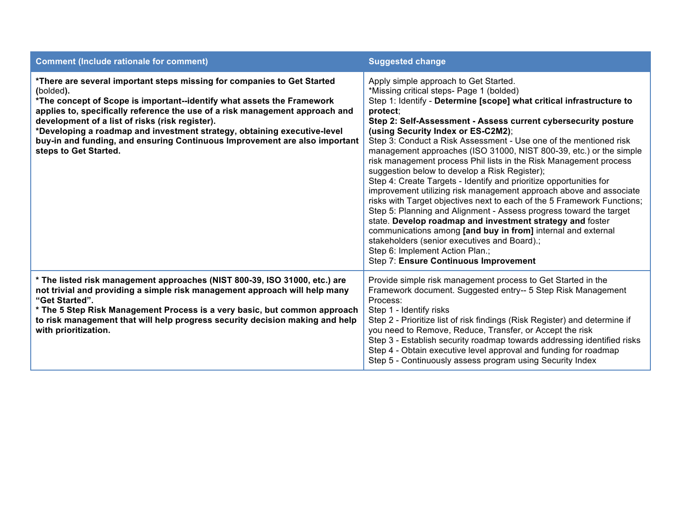| <b>Comment (Include rationale for comment)</b>                                                                                                                                                                                                                                                                                                                                                                                                                                       | <b>Suggested change</b>                                                                                                                                                                                                                                                                                                                                                                                                                                                                                                                                                                                                                                                                                                                                                                                                                                                                                                                                                                                                                                                                              |
|--------------------------------------------------------------------------------------------------------------------------------------------------------------------------------------------------------------------------------------------------------------------------------------------------------------------------------------------------------------------------------------------------------------------------------------------------------------------------------------|------------------------------------------------------------------------------------------------------------------------------------------------------------------------------------------------------------------------------------------------------------------------------------------------------------------------------------------------------------------------------------------------------------------------------------------------------------------------------------------------------------------------------------------------------------------------------------------------------------------------------------------------------------------------------------------------------------------------------------------------------------------------------------------------------------------------------------------------------------------------------------------------------------------------------------------------------------------------------------------------------------------------------------------------------------------------------------------------------|
| *There are several important steps missing for companies to Get Started<br>(bolded).<br>*The concept of Scope is important--identify what assets the Framework<br>applies to, specifically reference the use of a risk management approach and<br>development of a list of risks (risk register).<br>*Developing a roadmap and investment strategy, obtaining executive-level<br>buy-in and funding, and ensuring Continuous Improvement are also important<br>steps to Get Started. | Apply simple approach to Get Started.<br>*Missing critical steps- Page 1 (bolded)<br>Step 1: Identify - Determine [scope] what critical infrastructure to<br>protect;<br>Step 2: Self-Assessment - Assess current cybersecurity posture<br>(using Security Index or ES-C2M2);<br>Step 3: Conduct a Risk Assessment - Use one of the mentioned risk<br>management approaches (ISO 31000, NIST 800-39, etc.) or the simple<br>risk management process Phil lists in the Risk Management process<br>suggestion below to develop a Risk Register);<br>Step 4: Create Targets - Identify and prioritize opportunities for<br>improvement utilizing risk management approach above and associate<br>risks with Target objectives next to each of the 5 Framework Functions;<br>Step 5: Planning and Alignment - Assess progress toward the target<br>state. Develop roadmap and investment strategy and foster<br>communications among [and buy in from] internal and external<br>stakeholders (senior executives and Board).;<br>Step 6: Implement Action Plan.;<br>Step 7: Ensure Continuous Improvement |
| * The listed risk management approaches (NIST 800-39, ISO 31000, etc.) are<br>not trivial and providing a simple risk management approach will help many<br>"Get Started".<br>* The 5 Step Risk Management Process is a very basic, but common approach<br>to risk management that will help progress security decision making and help<br>with prioritization.                                                                                                                      | Provide simple risk management process to Get Started in the<br>Framework document. Suggested entry-- 5 Step Risk Management<br>Process:<br>Step 1 - Identify risks<br>Step 2 - Prioritize list of risk findings (Risk Register) and determine if<br>you need to Remove, Reduce, Transfer, or Accept the risk<br>Step 3 - Establish security roadmap towards addressing identified risks<br>Step 4 - Obtain executive level approval and funding for roadmap<br>Step 5 - Continuously assess program using Security Index                                                                                                                                                                                                                                                                                                                                                                                                                                                                                                                                                                            |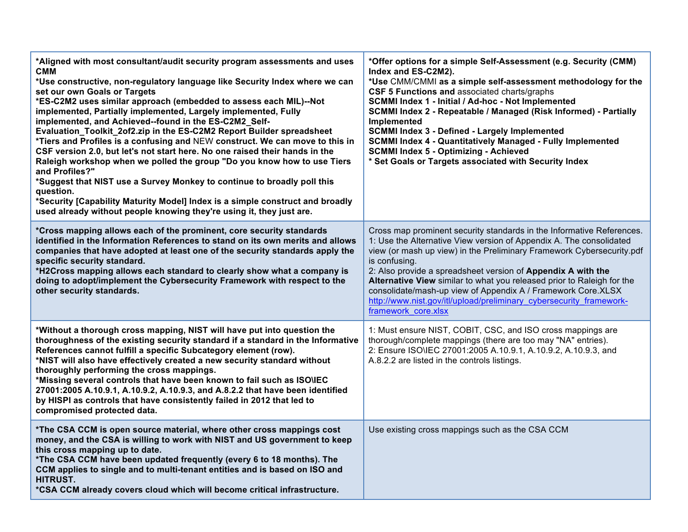| *Aligned with most consultant/audit security program assessments and uses<br><b>CMM</b><br>*Use constructive, non-regulatory language like Security Index where we can<br>set our own Goals or Targets<br>*ES-C2M2 uses similar approach (embedded to assess each MIL)--Not<br>implemented, Partially implemented, Largely implemented, Fully<br>implemented, and Achieved--found in the ES-C2M2 Self-<br>Evaluation_Toolkit_2of2.zip in the ES-C2M2 Report Builder spreadsheet<br>*Tiers and Profiles is a confusing and NEW construct. We can move to this in<br>CSF version 2.0, but let's not start here. No one raised their hands in the<br>Raleigh workshop when we polled the group "Do you know how to use Tiers<br>and Profiles?"<br>*Suggest that NIST use a Survey Monkey to continue to broadly poll this<br>question.<br>*Security [Capability Maturity Model] Index is a simple construct and broadly<br>used already without people knowing they're using it, they just are. | *Offer options for a simple Self-Assessment (e.g. Security (CMM)<br>Index and ES-C2M2).<br>*Use CMM/CMMI as a simple self-assessment methodology for the<br>CSF 5 Functions and associated charts/graphs<br>SCMMI Index 1 - Initial / Ad-hoc - Not Implemented<br>SCMMI Index 2 - Repeatable / Managed (Risk Informed) - Partially<br>Implemented<br><b>SCMMI Index 3 - Defined - Largely Implemented</b><br><b>SCMMI Index 4 - Quantitatively Managed - Fully Implemented</b><br><b>SCMMI Index 5 - Optimizing - Achieved</b><br>* Set Goals or Targets associated with Security Index |
|----------------------------------------------------------------------------------------------------------------------------------------------------------------------------------------------------------------------------------------------------------------------------------------------------------------------------------------------------------------------------------------------------------------------------------------------------------------------------------------------------------------------------------------------------------------------------------------------------------------------------------------------------------------------------------------------------------------------------------------------------------------------------------------------------------------------------------------------------------------------------------------------------------------------------------------------------------------------------------------------|-----------------------------------------------------------------------------------------------------------------------------------------------------------------------------------------------------------------------------------------------------------------------------------------------------------------------------------------------------------------------------------------------------------------------------------------------------------------------------------------------------------------------------------------------------------------------------------------|
| *Cross mapping allows each of the prominent, core security standards<br>identified in the Information References to stand on its own merits and allows<br>companies that have adopted at least one of the security standards apply the<br>specific security standard.<br>*H2Cross mapping allows each standard to clearly show what a company is<br>doing to adopt/implement the Cybersecurity Framework with respect to the<br>other security standards.                                                                                                                                                                                                                                                                                                                                                                                                                                                                                                                                    | Cross map prominent security standards in the Informative References.<br>1: Use the Alternative View version of Appendix A. The consolidated<br>view (or mash up view) in the Preliminary Framework Cybersecurity.pdf<br>is confusing.<br>2: Also provide a spreadsheet version of Appendix A with the<br>Alternative View similar to what you released prior to Raleigh for the<br>consolidate/mash-up view of Appendix A / Framework Core.XLSX<br>http://www.nist.gov/itl/upload/preliminary cybersecurity framework-<br>framework core.xlsx                                          |
| *Without a thorough cross mapping, NIST will have put into question the<br>thoroughness of the existing security standard if a standard in the Informative<br>References cannot fulfill a specific Subcategory element (row).<br>*NIST will also have effectively created a new security standard without<br>thoroughly performing the cross mappings.<br>*Missing several controls that have been known to fail such as ISO\IEC<br>27001:2005 A.10.9.1, A.10.9.2, A.10.9.3, and A.8.2.2 that have been identified<br>by HISPI as controls that have consistently failed in 2012 that led to<br>compromised protected data.                                                                                                                                                                                                                                                                                                                                                                  | 1: Must ensure NIST, COBIT, CSC, and ISO cross mappings are<br>thorough/complete mappings (there are too may "NA" entries).<br>2: Ensure ISO\IEC 27001:2005 A.10.9.1, A.10.9.2, A.10.9.3, and<br>A.8.2.2 are listed in the controls listings.                                                                                                                                                                                                                                                                                                                                           |
| *The CSA CCM is open source material, where other cross mappings cost<br>money, and the CSA is willing to work with NIST and US government to keep<br>this cross mapping up to date.<br>*The CSA CCM have been updated frequently (every 6 to 18 months). The<br>CCM applies to single and to multi-tenant entities and is based on ISO and<br><b>HITRUST.</b><br>*CSA CCM already covers cloud which will become critical infrastructure.                                                                                                                                                                                                                                                                                                                                                                                                                                                                                                                                                   | Use existing cross mappings such as the CSA CCM                                                                                                                                                                                                                                                                                                                                                                                                                                                                                                                                         |